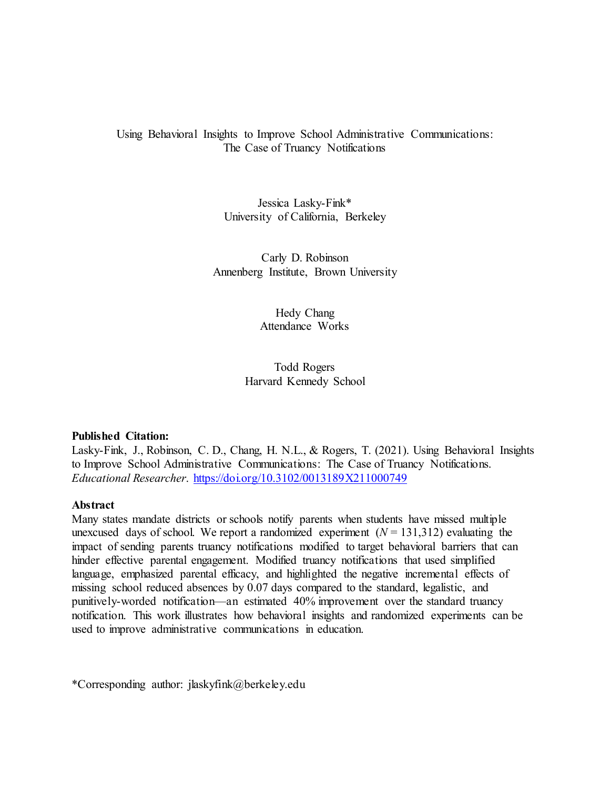# Using Behavioral Insights to Improve School Administrative Communications: The Case of Truancy Notifications

Jessica Lasky-Fink\* University of California, Berkeley

Carly D. Robinson Annenberg Institute, Brown University

> Hedy Chang Attendance Works

Todd Rogers Harvard Kennedy School

## **Published Citation:**

Lasky-Fink, J., Robinson, C. D., Chang, H. N.L., & Rogers, T. (2021). Using Behavioral Insights to Improve School Administrative Communications: The Case of Truancy Notifications. *Educational Researcher*.<https://doi.org/10.3102/0013189X211000749>

## **Abstract**

Many states mandate districts or schools notify parents when students have missed multiple unexcused days of school. We report a randomized experiment  $(N = 131,312)$  evaluating the impact of sending parents truancy notifications modified to target behavioral barriers that can hinder effective parental engagement. Modified truancy notifications that used simplified language, emphasized parental efficacy, and highlighted the negative incremental effects of missing school reduced absences by 0.07 days compared to the standard, legalistic, and punitively-worded notification—an estimated 40% improvement over the standard truancy notification. This work illustrates how behavioral insights and randomized experiments can be used to improve administrative communications in education.

\*Corresponding author: jlaskyfink@berkeley.edu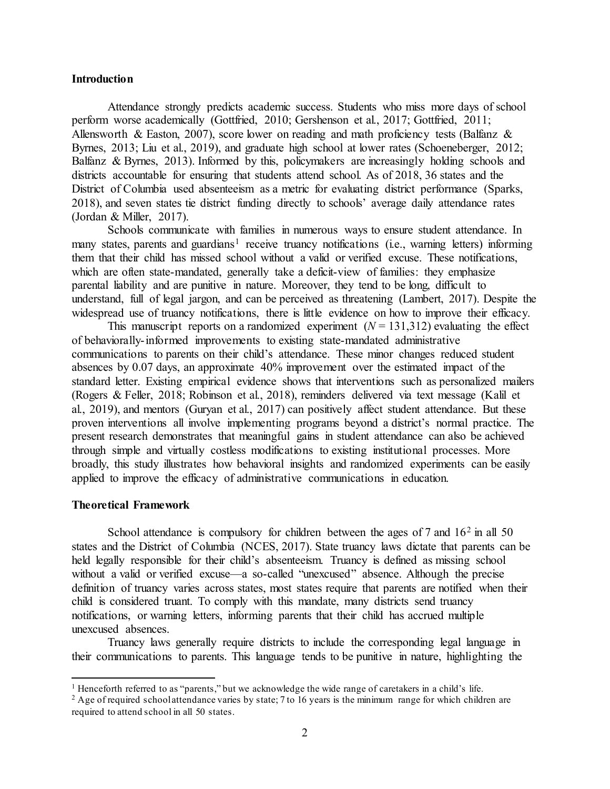### **Introduction**

Attendance strongly predicts academic success. Students who miss more days of school perform worse academically (Gottfried, 2010; Gershenson et al., 2017; Gottfried, 2011; Allensworth & Easton, 2007), score lower on reading and math proficiency tests (Balfanz & Byrnes, 2013; Liu et al., 2019), and graduate high school at lower rates (Schoeneberger, 2012; Balfanz & Byrnes, 2013). Informed by this, policymakers are increasingly holding schools and districts accountable for ensuring that students attend school. As of 2018, 36 states and the District of Columbia used absenteeism as a metric for evaluating district performance (Sparks, 2018), and seven states tie district funding directly to schools' average daily attendance rates (Jordan & Miller, 2017).

Schools communicate with families in numerous ways to ensure student attendance. In many states, parents and guardians<sup>[1](#page-1-0)</sup> receive truancy notifications (i.e., warning letters) informing them that their child has missed school without a valid or verified excuse. These notifications, which are often state-mandated, generally take a deficit-view of families: they emphasize parental liability and are punitive in nature. Moreover, they tend to be long, difficult to understand, full of legal jargon, and can be perceived as threatening (Lambert, 2017). Despite the widespread use of truancy notifications, there is little evidence on how to improve their efficacy.

This manuscript reports on a randomized experiment  $(N = 131,312)$  evaluating the effect of behaviorally-informed improvements to existing state-mandated administrative communications to parents on their child's attendance. These minor changes reduced student absences by 0.07 days, an approximate 40% improvement over the estimated impact of the standard letter. Existing empirical evidence shows that interventions such as personalized mailers (Rogers & Feller, 2018; Robinson et al., 2018), reminders delivered via text message (Kalil et al., 2019), and mentors (Guryan et al., 2017) can positively affect student attendance. But these proven interventions all involve implementing programs beyond a district's normal practice. The present research demonstrates that meaningful gains in student attendance can also be achieved through simple and virtually costless modifications to existing institutional processes. More broadly, this study illustrates how behavioral insights and randomized experiments can be easily applied to improve the efficacy of administrative communications in education.

### **Theoretical Framework**

School attendance is compulsory for children between the ages of  $7$  and  $16<sup>2</sup>$  $16<sup>2</sup>$  $16<sup>2</sup>$  in all  $50$ states and the District of Columbia (NCES, 2017). State truancy laws dictate that parents can be held legally responsible for their child's absenteeism. Truancy is defined as missing school without a valid or verified excuse—a so-called "unexcused" absence. Although the precise definition of truancy varies across states, most states require that parents are notified when their child is considered truant. To comply with this mandate, many districts send truancy notifications, or warning letters, informing parents that their child has accrued multiple unexcused absences.

Truancy laws generally require districts to include the corresponding legal language in their communications to parents. This language tends to be punitive in nature, highlighting the

<span id="page-1-0"></span><sup>&</sup>lt;sup>1</sup> Henceforth referred to as "parents," but we acknowledge the wide range of caretakers in a child's life.

<span id="page-1-1"></span><sup>&</sup>lt;sup>2</sup> Age of required school attendance varies by state; 7 to 16 years is the minimum range for which children are required to attend school in all 50 states.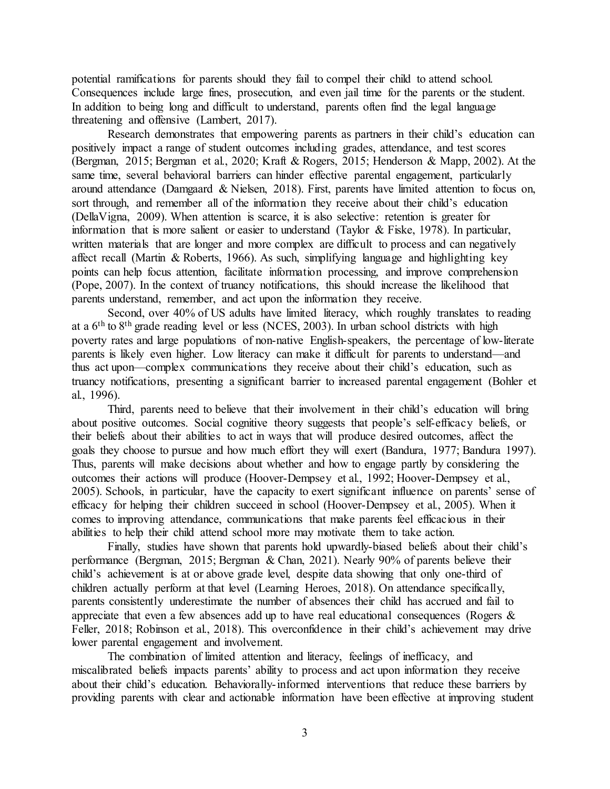potential ramifications for parents should they fail to compel their child to attend school. Consequences include large fines, prosecution, and even jail time for the parents or the student. In addition to being long and difficult to understand, parents often find the legal language threatening and offensive (Lambert, 2017).

Research demonstrates that empowering parents as partners in their child's education can positively impact a range of student outcomes including grades, attendance, and test scores (Bergman, 2015; Bergman et al., 2020; Kraft & Rogers, 2015; Henderson & Mapp, 2002). At the same time, several behavioral barriers can hinder effective parental engagement, particularly around attendance (Damgaard & Nielsen, 2018). First, parents have limited attention to focus on, sort through, and remember all of the information they receive about their child's education (DellaVigna, 2009). When attention is scarce, it is also selective: retention is greater for information that is more salient or easier to understand (Taylor & Fiske, 1978). In particular, written materials that are longer and more complex are difficult to process and can negatively affect recall (Martin & Roberts, 1966). As such, simplifying language and highlighting key points can help focus attention, facilitate information processing, and improve comprehension (Pope, 2007). In the context of truancy notifications, this should increase the likelihood that parents understand, remember, and act upon the information they receive.

Second, over 40% of US adults have limited literacy, which roughly translates to reading at a 6th to 8th grade reading level or less (NCES, 2003). In urban school districts with high poverty rates and large populations of non-native English-speakers, the percentage of low-literate parents is likely even higher. Low literacy can make it difficult for parents to understand—and thus act upon—complex communications they receive about their child's education, such as truancy notifications, presenting a significant barrier to increased parental engagement (Bohler et al., 1996).

Third, parents need to believe that their involvement in their child's education will bring about positive outcomes. Social cognitive theory suggests that people's self-efficacy beliefs, or their beliefs about their abilities to act in ways that will produce desired outcomes, affect the goals they choose to pursue and how much effort they will exert (Bandura, 1977; Bandura 1997). Thus, parents will make decisions about whether and how to engage partly by considering the outcomes their actions will produce (Hoover-Dempsey et al., 1992; Hoover-Dempsey et al., 2005). Schools, in particular, have the capacity to exert significant influence on parents' sense of efficacy for helping their children succeed in school (Hoover-Dempsey et al., 2005). When it comes to improving attendance, communications that make parents feel efficacious in their abilities to help their child attend school more may motivate them to take action.

Finally, studies have shown that parents hold upwardly-biased beliefs about their child's performance (Bergman, 2015; Bergman & Chan, 2021). Nearly 90% of parents believe their child's achievement is at or above grade level, despite data showing that only one-third of children actually perform at that level (Learning Heroes, 2018). On attendance specifically, parents consistently underestimate the number of absences their child has accrued and fail to appreciate that even a few absences add up to have real educational consequences (Rogers  $\&$ Feller, 2018; Robinson et al., 2018). This overconfidence in their child's achievement may drive lower parental engagement and involvement.

The combination of limited attention and literacy, feelings of inefficacy, and miscalibrated beliefs impacts parents' ability to process and act upon information they receive about their child's education. Behaviorally-informed interventions that reduce these barriers by providing parents with clear and actionable information have been effective at improving student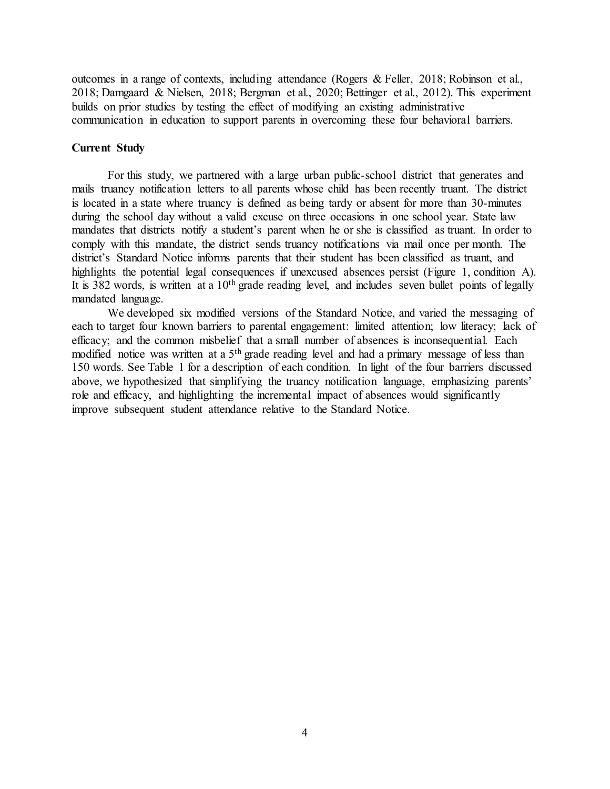outcomes in a range of contexts, including attendance (Rogers & Feller, 2018; Robinson et al., 2018; Damgaard & Nielsen, 2018; Bergman et al., 2020; Bettinger et al., 2012). This experiment builds on prior studies by testing the effect of modifying an existing administrative communication in education to support parents in overcoming these four behavioral barriers.

### **Current Study**

For this study, we partnered with a large urban public-school district that generates and mails truancy notification letters to all parents whose child has been recently truant. The district is located in a state where truancy is defined as being tardy or absent for more than 30-minutes during the school day without a valid excuse on three occasions in one school year. State law mandates that districts notify a student's parent when he or she is classified as truant. In order to comply with this mandate, the district sends truancy notifications via mail once per month. The district's Standard Notice informs parents that their student has been classified as truant, and highlights the potential legal consequences if unexcused absences persist (Figure 1, condition A). It is 382 words, is written at a  $10<sup>th</sup>$  grade reading level, and includes seven bullet points of legally mandated language.

We developed six modified versions of the Standard Notice, and varied the messaging of each to target four known barriers to parental engagement: limited attention; low literacy; lack of efficacy; and the common misbelief that a small number of absences is inconsequential. Each modified notice was written at a 5<sup>th</sup> grade reading level and had a primary message of less than 150 words. See Table 1 for a description of each condition. In light of the four barriers discussed above, we hypothesized that simplifying the truancy notification language, emphasizing parents' role and efficacy, and highlighting the incremental impact of absences would significantly improve subsequent student attendance relative to the Standard Notice.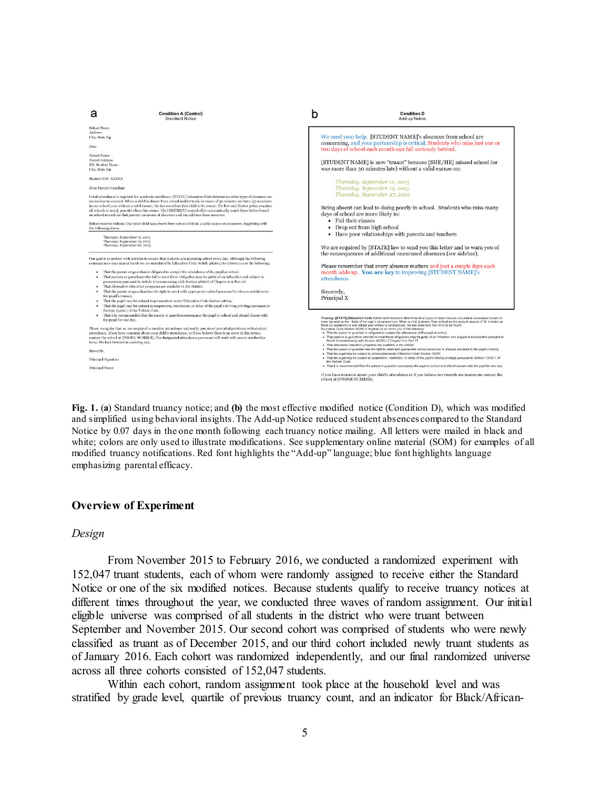

**Fig. 1.** (**a**) Standard truancy notice; and **(b)** the most effective modified notice (Condition D), which was modified and simplified using behavioral insights. The Add-up Notice reduced student absences compared to the Standard Notice by 0.07 days in the one month following each truancy notice mailing. All letters were mailed in black and white; colors are only used to illustrate modifications. See supplementary online material (SOM) for examples of all modified truancy notifications. Red font highlights the "Add-up" language; blue font highlights language emphasizing parental efficacy.

### **Overview of Experiment**

#### *Design*

From November 2015 to February 2016, we conducted a randomized experiment with 152,047 truant students, each of whom were randomly assigned to receive either the Standard Notice or one of the six modified notices. Because students qualify to receive truancy notices at different times throughout the year, we conducted three waves of random assignment. Our initial eligible universe was comprised of all students in the district who were truant between September and November 2015. Our second cohort was comprised of students who were newly classified as truant as of December 2015, and our third cohort included newly truant students as of January 2016. Each cohort was randomized independently, and our final randomized universe across all three cohorts consisted of 152,047 students.

Within each cohort, random assignment took place at the household level and was stratified by grade level, quartile of previous truancy count, and an indicator for Black/African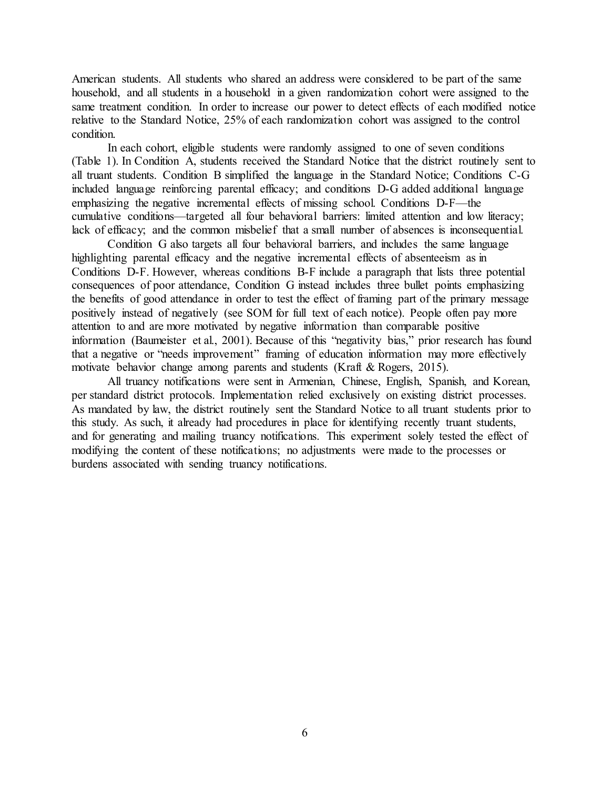American students. All students who shared an address were considered to be part of the same household, and all students in a household in a given randomization cohort were assigned to the same treatment condition. In order to increase our power to detect effects of each modified notice relative to the Standard Notice, 25% of each randomization cohort was assigned to the control condition.

In each cohort, eligible students were randomly assigned to one of seven conditions (Table 1). In Condition A, students received the Standard Notice that the district routinely sent to all truant students. Condition B simplified the language in the Standard Notice; Conditions C-G included language reinforcing parental efficacy; and conditions D-G added additional language emphasizing the negative incremental effects of missing school. Conditions D-F—the cumulative conditions—targeted all four behavioral barriers: limited attention and low literacy; lack of efficacy; and the common misbelief that a small number of absences is inconsequential.

Condition G also targets all four behavioral barriers, and includes the same language highlighting parental efficacy and the negative incremental effects of absenteeism as in Conditions D-F. However, whereas conditions B-F include a paragraph that lists three potential consequences of poor attendance, Condition G instead includes three bullet points emphasizing the benefits of good attendance in order to test the effect of framing part of the primary message positively instead of negatively (see SOM for full text of each notice). People often pay more attention to and are more motivated by negative information than comparable positive information (Baumeister et al., 2001). Because of this "negativity bias," prior research has found that a negative or "needs improvement" framing of education information may more effectively motivate behavior change among parents and students (Kraft & Rogers, 2015).

All truancy notifications were sent in Armenian, Chinese, English, Spanish, and Korean, per standard district protocols. Implementation relied exclusively on existing district processes. As mandated by law, the district routinely sent the Standard Notice to all truant students prior to this study. As such, it already had procedures in place for identifying recently truant students, and for generating and mailing truancy notifications. This experiment solely tested the effect of modifying the content of these notifications; no adjustments were made to the processes or burdens associated with sending truancy notifications.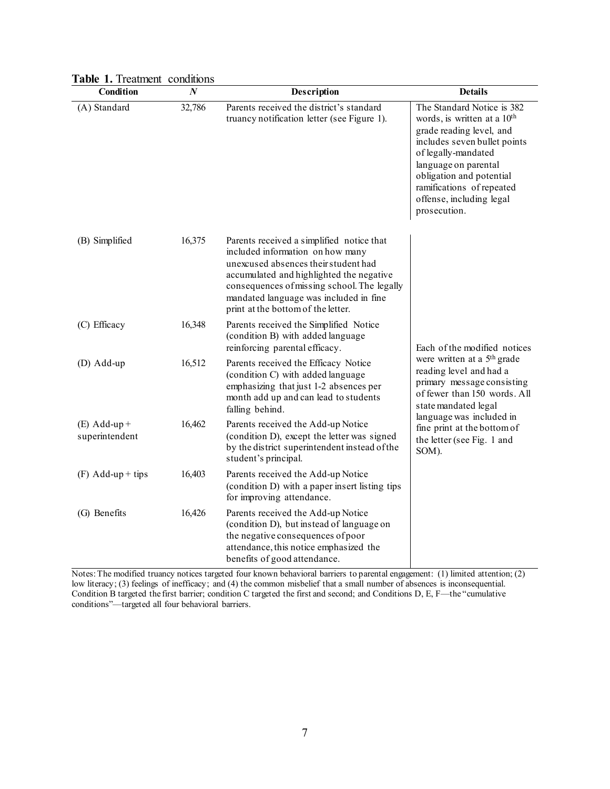| Condition                        | $\overline{N}$ | <b>Description</b>                                                                                                                                                                                                                                                                               | <b>Details</b>                                                                                                                                                                                                                                                                        |  |
|----------------------------------|----------------|--------------------------------------------------------------------------------------------------------------------------------------------------------------------------------------------------------------------------------------------------------------------------------------------------|---------------------------------------------------------------------------------------------------------------------------------------------------------------------------------------------------------------------------------------------------------------------------------------|--|
| (A) Standard                     | 32,786         | Parents received the district's standard<br>truancy notification letter (see Figure 1).                                                                                                                                                                                                          | The Standard Notice is 382<br>words, is written at a 10 <sup>th</sup><br>grade reading level, and<br>includes seven bullet points<br>of legally-mandated<br>language on parental<br>obligation and potential<br>ramifications of repeated<br>offense, including legal<br>prosecution. |  |
| (B) Simplified                   | 16,375         | Parents received a simplified notice that<br>included information on how many<br>unexcused absences their student had<br>accumulated and highlighted the negative<br>consequences of missing school. The legally<br>mandated language was included in fine<br>print at the bottom of the letter. |                                                                                                                                                                                                                                                                                       |  |
| (C) Efficacy                     | 16,348         | Parents received the Simplified Notice<br>(condition B) with added language<br>reinforcing parental efficacy.                                                                                                                                                                                    | Each of the modified notices                                                                                                                                                                                                                                                          |  |
| (D) Add-up                       | 16,512         | Parents received the Efficacy Notice<br>(condition C) with added language<br>emphasizing that just 1-2 absences per<br>month add up and can lead to students<br>falling behind.                                                                                                                  | were written at a 5 <sup>th</sup> grade<br>reading level and had a<br>primary message consisting<br>of fewer than 150 words. All<br>state mandated legal<br>language was included in<br>fine print at the bottom of<br>the letter (see Fig. 1 and<br>SOM).                            |  |
| $(E)$ Add-up +<br>superintendent | 16,462         | Parents received the Add-up Notice<br>(condition D), except the letter was signed<br>by the district superintendent instead of the<br>student's principal.                                                                                                                                       |                                                                                                                                                                                                                                                                                       |  |
| $(F)$ Add-up + tips              | 16,403         | Parents received the Add-up Notice<br>(condition D) with a paper insert listing tips<br>for improving attendance.                                                                                                                                                                                |                                                                                                                                                                                                                                                                                       |  |
| (G) Benefits                     | 16,426         | Parents received the Add-up Notice<br>(condition D), but instead of language on<br>the negative consequences of poor<br>attendance, this notice emphasized the<br>benefits of good attendance.                                                                                                   |                                                                                                                                                                                                                                                                                       |  |

|  |  |  | Table 1. Treatment conditions |
|--|--|--|-------------------------------|
|--|--|--|-------------------------------|

Notes: The modified truancy notices targeted four known behavioral barriers to parental engagement: (1) limited attention; (2) low literacy; (3) feelings of inefficacy; and (4) the common misbelief that a small number of absences is inconsequential. Condition B targeted the first barrier; condition C targeted the first and second; and Conditions D, E, F—the "cumulative conditions"—targeted all four behavioral barriers.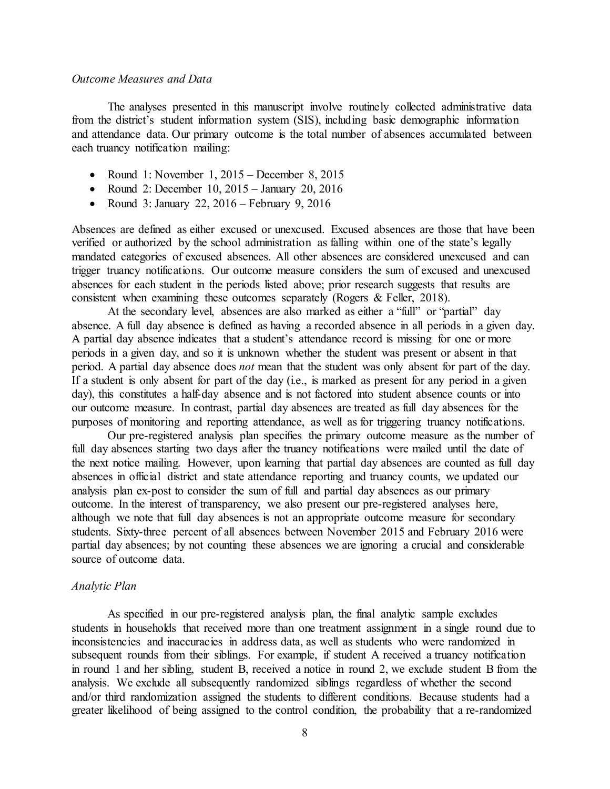### *Outcome Measures and Data*

The analyses presented in this manuscript involve routinely collected administrative data from the district's student information system (SIS), including basic demographic information and attendance data. Our primary outcome is the total number of absences accumulated between each truancy notification mailing:

- Round 1: November 1, 2015 December 8, 2015
- Round 2: December 10, 2015 January 20, 2016
- Round 3: January 22,  $2016$  February 9, 2016

Absences are defined as either excused or unexcused. Excused absences are those that have been verified or authorized by the school administration as falling within one of the state's legally mandated categories of excused absences. All other absences are considered unexcused and can trigger truancy notifications. Our outcome measure considers the sum of excused and unexcused absences for each student in the periods listed above; prior research suggests that results are consistent when examining these outcomes separately (Rogers & Feller, 2018).

At the secondary level, absences are also marked as either a "full" or "partial" day absence. A full day absence is defined as having a recorded absence in all periods in a given day. A partial day absence indicates that a student's attendance record is missing for one or more periods in a given day, and so it is unknown whether the student was present or absent in that period. A partial day absence does *not* mean that the student was only absent for part of the day. If a student is only absent for part of the day (i.e., is marked as present for any period in a given day), this constitutes a half-day absence and is not factored into student absence counts or into our outcome measure. In contrast, partial day absences are treated as full day absences for the purposes of monitoring and reporting attendance, as well as for triggering truancy notifications.

Our pre-registered analysis plan specifies the primary outcome measure as the number of full day absences starting two days after the truancy notifications were mailed until the date of the next notice mailing. However, upon learning that partial day absences are counted as full day absences in official district and state attendance reporting and truancy counts, we updated our analysis plan ex-post to consider the sum of full and partial day absences as our primary outcome. In the interest of transparency, we also present our pre-registered analyses here, although we note that full day absences is not an appropriate outcome measure for secondary students. Sixty-three percent of all absences between November 2015 and February 2016 were partial day absences; by not counting these absences we are ignoring a crucial and considerable source of outcome data.

#### *Analytic Plan*

As specified in our pre-registered analysis plan, the final analytic sample excludes students in households that received more than one treatment assignment in a single round due to inconsistencies and inaccuracies in address data, as well as students who were randomized in subsequent rounds from their siblings. For example, if student A received a truancy notification in round 1 and her sibling, student B, received a notice in round 2, we exclude student B from the analysis. We exclude all subsequently randomized siblings regardless of whether the second and/or third randomization assigned the students to different conditions. Because students had a greater likelihood of being assigned to the control condition, the probability that a re-randomized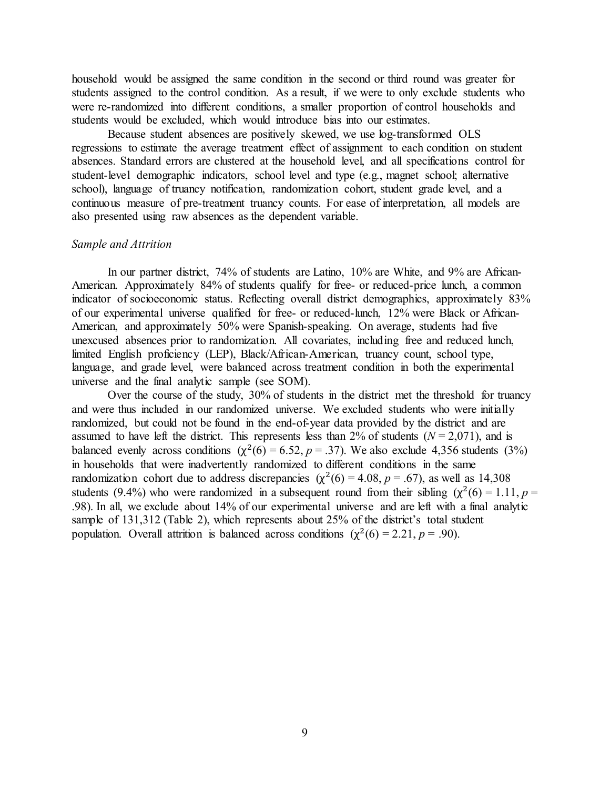household would be assigned the same condition in the second or third round was greater for students assigned to the control condition. As a result, if we were to only exclude students who were re-randomized into different conditions, a smaller proportion of control households and students would be excluded, which would introduce bias into our estimates.

Because student absences are positively skewed, we use log-transformed OLS regressions to estimate the average treatment effect of assignment to each condition on student absences. Standard errors are clustered at the household level, and all specifications control for student-level demographic indicators, school level and type (e.g., magnet school; alternative school), language of truancy notification, randomization cohort, student grade level, and a continuous measure of pre-treatment truancy counts. For ease of interpretation, all models are also presented using raw absences as the dependent variable.

#### *Sample and Attrition*

In our partner district, 74% of students are Latino, 10% are White, and 9% are African-American. Approximately 84% of students qualify for free- or reduced-price lunch, a common indicator of socioeconomic status. Reflecting overall district demographics, approximately 83% of our experimental universe qualified for free- or reduced-lunch, 12% were Black or African-American, and approximately 50% were Spanish-speaking. On average, students had five unexcused absences prior to randomization. All covariates, including free and reduced lunch, limited English proficiency (LEP), Black/African-American, truancy count, school type, language, and grade level, were balanced across treatment condition in both the experimental universe and the final analytic sample (see SOM).

Over the course of the study, 30% of students in the district met the threshold for truancy and were thus included in our randomized universe. We excluded students who were initially randomized, but could not be found in the end-of-year data provided by the district and are assumed to have left the district. This represents less than 2% of students  $(N = 2.071)$ , and is balanced evenly across conditions  $(\chi^2(6) = 6.52, p = .37)$ . We also exclude 4,356 students (3%) in households that were inadvertently randomized to different conditions in the same randomization cohort due to address discrepancies ( $\chi^2(6) = 4.08$ ,  $p = .67$ ), as well as 14,308 students (9.4%) who were randomized in a subsequent round from their sibling ( $\chi^2(6) = 1.11$ ,  $p =$ .98). In all, we exclude about 14% of our experimental universe and are left with a final analytic sample of 131,312 (Table 2), which represents about 25% of the district's total student population. Overall attrition is balanced across conditions  $(\chi^2(6) = 2.21, p = .90)$ .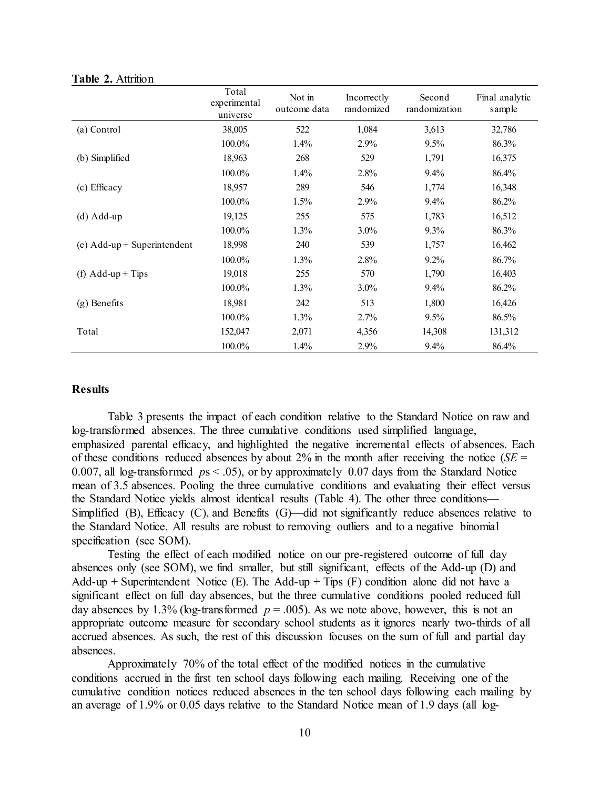|                               | Total<br>experimental<br>universe | Not in<br>outcome data | Incorrectly<br>randomized | Second<br>randomization | Final analytic<br>sample |
|-------------------------------|-----------------------------------|------------------------|---------------------------|-------------------------|--------------------------|
| (a) Control                   | 38,005                            | 522                    | 1,084                     | 3,613                   | 32,786                   |
|                               | 100.0%                            | 1.4%                   | 2.9%                      | 9.5%                    | 86.3%                    |
| (b) Simplified                | 18,963                            | 268                    | 529                       | 1,791                   | 16,375                   |
|                               | 100.0%                            | 1.4%                   | 2.8%                      | 9.4%                    | 86.4%                    |
| (c) Efficacy                  | 18,957                            | 289                    | 546                       | 1,774                   | 16,348                   |
|                               | 100.0%                            | 1.5%                   | 2.9%                      | 9.4%                    | 86.2%                    |
| $(d)$ Add-up                  | 19,125                            | 255                    | 575                       | 1,783                   | 16,512                   |
|                               | 100.0%                            | 1.3%                   | $3.0\%$                   | 9.3%                    | 86.3%                    |
| (e) $Add-up + Superintendent$ | 18,998                            | 240                    | 539                       | 1,757                   | 16,462                   |
|                               | 100.0%                            | 1.3%                   | 2.8%                      | 9.2%                    | 86.7%                    |
| (f) $Add-up + Tips$           | 19,018                            | 255                    | 570                       | 1,790                   | 16,403                   |
|                               | 100.0%                            | 1.3%                   | $3.0\%$                   | 9.4%                    | 86.2%                    |
| (g) Benefits                  | 18,981                            | 242                    | 513                       | 1,800                   | 16,426                   |
|                               | 100.0%                            | 1.3%                   | 2.7%                      | 9.5%                    | 86.5%                    |
| Total                         | 152,047                           | 2,071                  | 4,356                     | 14,308                  | 131,312                  |
|                               | 100.0%                            | 1.4%                   | 2.9%                      | 9.4%                    | 86.4%                    |

#### **Table 2.** Attrition

## **Results**

Table 3 presents the impact of each condition relative to the Standard Notice on raw and log-transformed absences. The three cumulative conditions used simplified language, emphasized parental efficacy, and highlighted the negative incremental effects of absences. Each of these conditions reduced absences by about 2% in the month after receiving the notice ( $SE =$ 0.007, all log-transformed *p*s < .05), or by approximately 0.07 days from the Standard Notice mean of 3.5 absences. Pooling the three cumulative conditions and evaluating their effect versus the Standard Notice yields almost identical results (Table 4). The other three conditions— Simplified (B), Efficacy (C), and Benefits (G)—did not significantly reduce absences relative to the Standard Notice. All results are robust to removing outliers and to a negative binomial specification (see SOM).

Testing the effect of each modified notice on our pre-registered outcome of full day absences only (see SOM), we find smaller, but still significant, effects of the Add-up (D) and Add-up + Superintendent Notice (E). The Add-up + Tips (F) condition alone did not have a significant effect on full day absences, but the three cumulative conditions pooled reduced full day absences by 1.3% (log-transformed  $p = .005$ ). As we note above, however, this is not an appropriate outcome measure for secondary school students as it ignores nearly two-thirds of all accrued absences. As such, the rest of this discussion focuses on the sum of full and partial day absences.

Approximately 70% of the total effect of the modified notices in the cumulative conditions accrued in the first ten school days following each mailing. Receiving one of the cumulative condition notices reduced absences in the ten school days following each mailing by an average of 1.9% or 0.05 days relative to the Standard Notice mean of 1.9 days (all log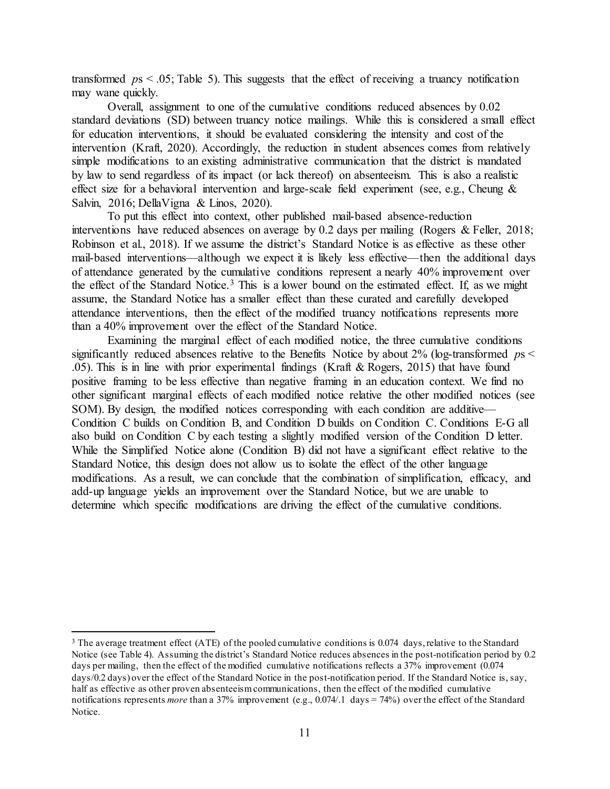transformed  $p_s < .05$ ; Table 5). This suggests that the effect of receiving a truancy notification may wane quickly.

Overall, assignment to one of the cumulative conditions reduced absences by 0.02 standard deviations (SD) between truancy notice mailings. While this is considered a small effect for education interventions, it should be evaluated considering the intensity and cost of the intervention (Kraft, 2020). Accordingly, the reduction in student absences comes from relatively simple modifications to an existing administrative communication that the district is mandated by law to send regardless of its impact (or lack thereof) on absenteeism. This is also a realistic effect size for a behavioral intervention and large-scale field experiment (see, e.g., Cheung  $\&$ Salvin, 2016; DellaVigna & Linos, 2020).

To put this effect into context, other published mail-based absence-reduction interventions have reduced absences on average by 0.2 days per mailing (Rogers & Feller, 2018; Robinson et al., 2018). If we assume the district's Standard Notice is as effective as these other mail-based interventions—although we expect it is likely less effective—then the additional days of attendance generated by the cumulative conditions represent a nearly 40% improvement over the effect of the Standard Notice.[3](#page-10-0) This is a lower bound on the estimated effect. If, as we might assume, the Standard Notice has a smaller effect than these curated and carefully developed attendance interventions, then the effect of the modified truancy notifications represents more than a 40% improvement over the effect of the Standard Notice.

Examining the marginal effect of each modified notice, the three cumulative conditions significantly reduced absences relative to the Benefits Notice by about 2% (log-transformed *p*s < .05). This is in line with prior experimental findings (Kraft & Rogers, 2015) that have found positive framing to be less effective than negative framing in an education context. We find no other significant marginal effects of each modified notice relative the other modified notices (see SOM). By design, the modified notices corresponding with each condition are additive— Condition C builds on Condition B, and Condition D builds on Condition C. Conditions E-G all also build on Condition C by each testing a slightly modified version of the Condition D letter. While the Simplified Notice alone (Condition B) did not have a significant effect relative to the Standard Notice, this design does not allow us to isolate the effect of the other language modifications. As a result, we can conclude that the combination of simplification, efficacy, and add-up language yields an improvement over the Standard Notice, but we are unable to determine which specific modifications are driving the effect of the cumulative conditions.

<span id="page-10-0"></span><sup>&</sup>lt;sup>3</sup> The average treatment effect (ATE) of the pooled cumulative conditions is 0.074 days, relative to the Standard Notice (see Table 4). Assuming the district's Standard Notice reduces absences in the post-notification period by 0.2 days per mailing, then the effect of the modified cumulative notifications reflects a 37% improvement (0.074) days/0.2 days) over the effect of the Standard Notice in the post-notification period. If the Standard Notice is, say, half as effective as other proven absenteeism communications, then the effect of the modified cumulative notifications represents *more* than a 37% improvement (e.g., 0.074/.1 days = 74%) over the effect of the Standard Notice.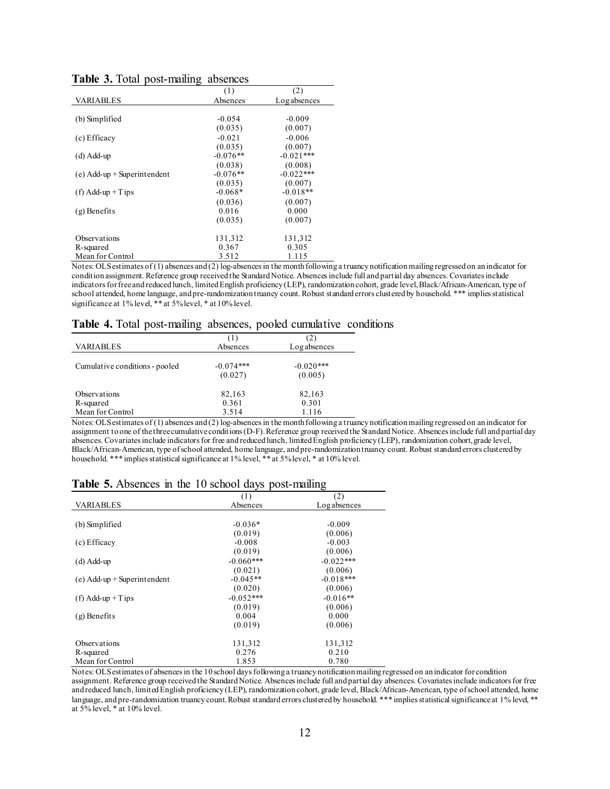|                               | ◯          |              |
|-------------------------------|------------|--------------|
|                               | (1)        | (2)          |
| VARIABLES                     | Absences   | Log absences |
|                               |            |              |
| (b) Simplified                | $-0.054$   | $-0.009$     |
|                               | (0.035)    | (0.007)      |
| (c) Efficacy                  | $-0.021$   | $-0.006$     |
|                               | (0.035)    | (0.007)      |
| $(d)$ Add-up                  | $-0.076**$ | $-0.021***$  |
|                               | (0.038)    | (0.008)      |
| $(e)$ Add-up + Superintendent | $-0.076**$ | $-0.022***$  |
|                               | (0.035)    | (0.007)      |
| $(f)$ Add-up + T ips          | $-0.068*$  | $-0.018**$   |
|                               | (0.036)    | (0.007)      |
| $(g)$ Benefits                | 0.016      | 0.000        |
|                               | (0.035)    | (0.007)      |
|                               |            |              |
| Observations                  | 131,312    | 131,312      |
| R-squared                     | 0.367      | 0.305        |
| Mean for Control              | 3.512      | 1.115        |

|  |  |  | Table 3. Total post-mailing absences |  |
|--|--|--|--------------------------------------|--|
|--|--|--|--------------------------------------|--|

Notes: OLS estimates of (1) absences and (2) log-absences in the month following a truancy notification mailing regressed on an indicator for condition assignment. Reference group received the Standard Notice. Absences include full and partial day absences. Covariates include indicators for free and reduced lunch, limited English proficiency (LEP), randomization cohort, grade level, Black/African-American, type of school attended, home language, and pre-randomization truancy count. Robust standard errors clustered by household. \*\*\* implies statistical significance at 1% level, \*\* at 5% level, \* at 10% level.

## **Table 4.** Total post-mailing absences, pooled cumulative conditions

| <b>VARIABLES</b>                                     | (1)<br>Absences          | $\mathbf{2)}$<br>Log absences |
|------------------------------------------------------|--------------------------|-------------------------------|
| Cumulative conditions - pooled                       | $-0.074***$<br>(0.027)   | $-0.020***$<br>(0.005)        |
| <b>Observations</b><br>R-squared<br>Mean for Control | 82,163<br>0.361<br>3.514 | 82,163<br>0.301<br>1.116      |

Notes: OLS estimates of (1) absences and (2) log-absences in the month following a truancy notification mailing regressed on an indicator for assignment to one of the three cumulativeconditions (D-F). Reference group received the Standard Notice. Absences include full and partial day absences. Covariates include indicators for free and reduced lunch, limited English proficiency (LEP), randomization cohort, grade level, Black/African-American, type of school attended, home language, and pre-randomization truancy count. Robust standard errors clustered by household. \*\*\* implies statistical significance at 1% level, \*\* at 5% level, \* at 10% level.

#### **Table 5.** Absences in the 10 school days post-mailing

|                               | (1)         | (2)          |
|-------------------------------|-------------|--------------|
| <b>VARIABLES</b>              | Absences    | Log absences |
|                               |             |              |
| (b) Simplified                | $-0.036*$   | $-0.009$     |
|                               | (0.019)     | (0.006)      |
| (c) Efficacy                  | $-0.008$    | $-0.003$     |
|                               | (0.019)     | (0.006)      |
| $(d)$ Add-up                  | $-0.060***$ | $-0.022***$  |
|                               | (0.021)     | (0.006)      |
| $(e)$ Add-up + Superintendent | $-0.045**$  | $-0.018***$  |
|                               | (0.020)     | (0.006)      |
| $(f)$ Add-up + Tips           | $-0.052***$ | $-0.016**$   |
|                               | (0.019)     | (0.006)      |
| $(g)$ Benefits                | 0.004       | 0.000        |
|                               | (0.019)     | (0.006)      |
|                               |             |              |
| Observations                  | 131,312     | 131,312      |
| R-squared                     | 0.276       | 0.210        |
| Mean for Control              | 1.853       | 0.780        |

Notes: OLS estimates of absences in the 10 school days following a truancy notification mailing regressed on an indicator for condition assignment. Reference group received the Standard Notice. Absences include full and partial day absences. Covariates include indicators for free and reduced lunch, limited English proficiency (LEP), randomization cohort, grade level, Black/African-American, type of school attended, home language, and pre-randomization truancy count. Robust standard errors clustered by household. \*\*\* implies statistical significance at 1% level, \*\* at 5% level, \* at 10% level.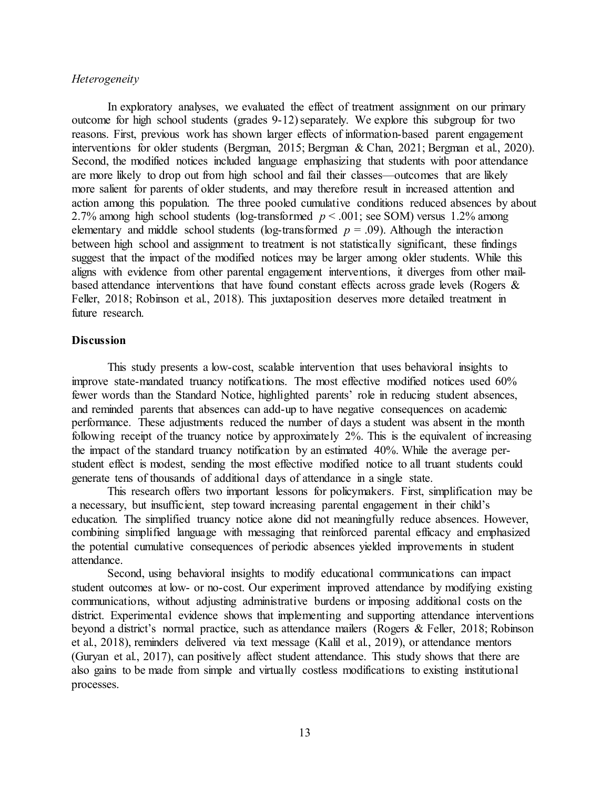### *Heterogeneity*

In exploratory analyses, we evaluated the effect of treatment assignment on our primary outcome for high school students (grades 9-12) separately. We explore this subgroup for two reasons. First, previous work has shown larger effects of information-based parent engagement interventions for older students (Bergman, 2015; Bergman & Chan, 2021; Bergman et al., 2020). Second, the modified notices included language emphasizing that students with poor attendance are more likely to drop out from high school and fail their classes—outcomes that are likely more salient for parents of older students, and may therefore result in increased attention and action among this population. The three pooled cumulative conditions reduced absences by about 2.7% among high school students (log-transformed *p* < .001; see SOM) versus 1.2% among elementary and middle school students (log-transformed  $p = .09$ ). Although the interaction between high school and assignment to treatment is not statistically significant, these findings suggest that the impact of the modified notices may be larger among older students. While this aligns with evidence from other parental engagement interventions, it diverges from other mailbased attendance interventions that have found constant effects across grade levels (Rogers & Feller, 2018; Robinson et al., 2018). This juxtaposition deserves more detailed treatment in future research.

## **Discussion**

This study presents a low-cost, scalable intervention that uses behavioral insights to improve state-mandated truancy notifications. The most effective modified notices used 60% fewer words than the Standard Notice, highlighted parents' role in reducing student absences, and reminded parents that absences can add-up to have negative consequences on academic performance. These adjustments reduced the number of days a student was absent in the month following receipt of the truancy notice by approximately 2%. This is the equivalent of increasing the impact of the standard truancy notification by an estimated 40%. While the average perstudent effect is modest, sending the most effective modified notice to all truant students could generate tens of thousands of additional days of attendance in a single state.

This research offers two important lessons for policymakers. First, simplification may be a necessary, but insufficient, step toward increasing parental engagement in their child's education. The simplified truancy notice alone did not meaningfully reduce absences. However, combining simplified language with messaging that reinforced parental efficacy and emphasized the potential cumulative consequences of periodic absences yielded improvements in student attendance.

Second, using behavioral insights to modify educational communications can impact student outcomes at low- or no-cost. Our experiment improved attendance by modifying existing communications, without adjusting administrative burdens or imposing additional costs on the district. Experimental evidence shows that implementing and supporting attendance interventions beyond a district's normal practice, such as attendance mailers (Rogers & Feller, 2018; Robinson et al., 2018), reminders delivered via text message (Kalil et al., 2019), or attendance mentors (Guryan et al., 2017), can positively affect student attendance. This study shows that there are also gains to be made from simple and virtually costless modifications to existing institutional processes.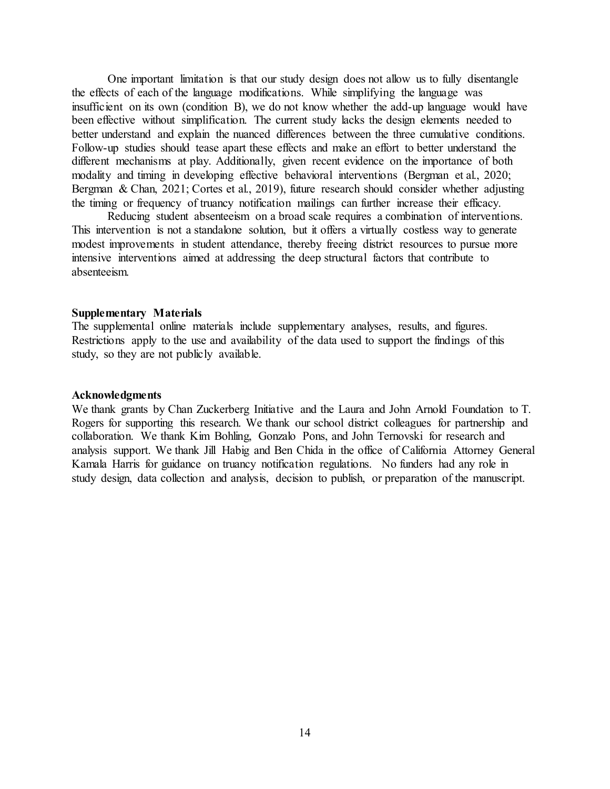One important limitation is that our study design does not allow us to fully disentangle the effects of each of the language modifications. While simplifying the language was insufficient on its own (condition B), we do not know whether the add-up language would have been effective without simplification. The current study lacks the design elements needed to better understand and explain the nuanced differences between the three cumulative conditions. Follow-up studies should tease apart these effects and make an effort to better understand the different mechanisms at play. Additionally, given recent evidence on the importance of both modality and timing in developing effective behavioral interventions (Bergman et al., 2020; Bergman & Chan, 2021; Cortes et al., 2019), future research should consider whether adjusting the timing or frequency of truancy notification mailings can further increase their efficacy.

Reducing student absenteeism on a broad scale requires a combination of interventions. This intervention is not a standalone solution, but it offers a virtually costless way to generate modest improvements in student attendance, thereby freeing district resources to pursue more intensive interventions aimed at addressing the deep structural factors that contribute to absenteeism.

### **Supplementary Materials**

The supplemental online materials include supplementary analyses, results, and figures. Restrictions apply to the use and availability of the data used to support the findings of this study, so they are not publicly available.

### **Acknowledgments**

We thank grants by Chan Zuckerberg Initiative and the Laura and John Arnold Foundation to T. Rogers for supporting this research. We thank our school district colleagues for partnership and collaboration. We thank Kim Bohling, Gonzalo Pons, and John Ternovski for research and analysis support. We thank Jill Habig and Ben Chida in the office of California Attorney General Kamala Harris for guidance on truancy notification regulations. No funders had any role in study design, data collection and analysis, decision to publish, or preparation of the manuscript.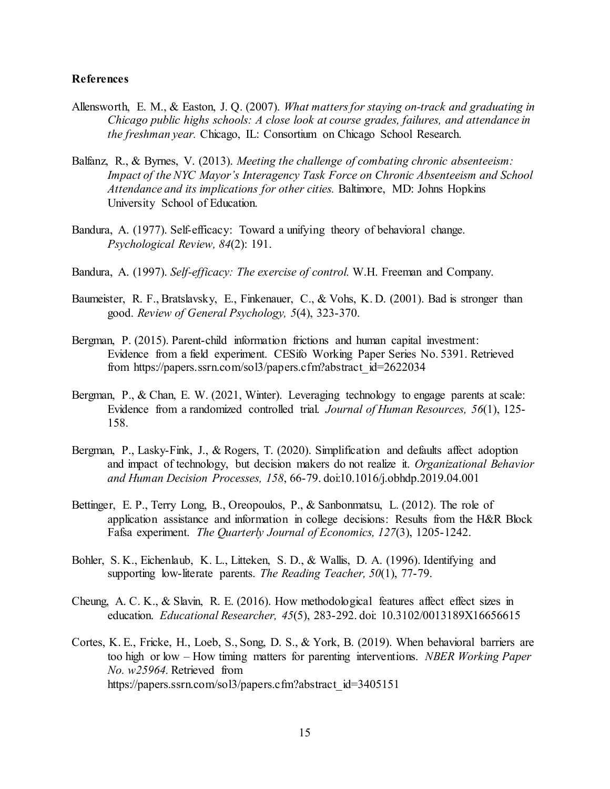### **References**

- Allensworth, E. M., & Easton, J. Q. (2007). *What matters for staying on-track and graduating in Chicago public highs schools: A close look at course grades, failures, and attendance in the freshman year.* Chicago, IL: Consortium on Chicago School Research.
- Balfanz, R., & Byrnes, V. (2013). *Meeting the challenge of combating chronic absenteeism: Impact of the NYC Mayor's Interagency Task Force on Chronic Absenteeism and School Attendance and its implications for other cities.* Baltimore, MD: Johns Hopkins University School of Education.
- Bandura, A. (1977). Self-efficacy: Toward a unifying theory of behavioral change. *Psychological Review, 84*(2): 191.
- Bandura, A. (1997). *Self-efficacy: The exercise of control.* W.H. Freeman and Company.
- Baumeister, R. F., Bratslavsky, E., Finkenauer, C., & Vohs, K. D. (2001). Bad is stronger than good. *Review of General Psychology, 5*(4), 323-370.
- Bergman, P. (2015). Parent-child information frictions and human capital investment: Evidence from a field experiment. CESifo Working Paper Series No. 5391. Retrieved from https://papers.ssrn.com/sol3/papers.cfm?abstract\_id=2622034
- Bergman, P., & Chan, E. W. (2021, Winter). Leveraging technology to engage parents at scale: Evidence from a randomized controlled trial. *Journal of Human Resources, 56*(1), 125- 158.
- Bergman, P., Lasky-Fink, J., & Rogers, T. (2020). Simplification and defaults affect adoption and impact of technology, but decision makers do not realize it. *Organizational Behavior and Human Decision Processes, 158*, 66-79. doi:10.1016/j.obhdp.2019.04.001
- Bettinger, E. P., Terry Long, B., Oreopoulos, P., & Sanbonmatsu, L. (2012). The role of application assistance and information in college decisions: Results from the H&R Block Fafsa experiment. *The Quarterly Journal of Economics, 127*(3), 1205-1242.
- Bohler, S. K., Eichenlaub, K. L., Litteken, S. D., & Wallis, D. A. (1996). Identifying and supporting low-literate parents. *The Reading Teacher, 50*(1), 77-79.
- Cheung, A. C. K., & Slavin, R. E. (2016). How methodological features affect effect sizes in education. *Educational Researcher, 45*(5), 283-292. doi: 10.3102/0013189X16656615
- Cortes, K. E., Fricke, H., Loeb, S., Song, D. S., & York, B. (2019). When behavioral barriers are too high or low – How timing matters for parenting interventions. *NBER Working Paper No. w25964.* Retrieved from https://papers.ssrn.com/sol3/papers.cfm?abstract\_id=3405151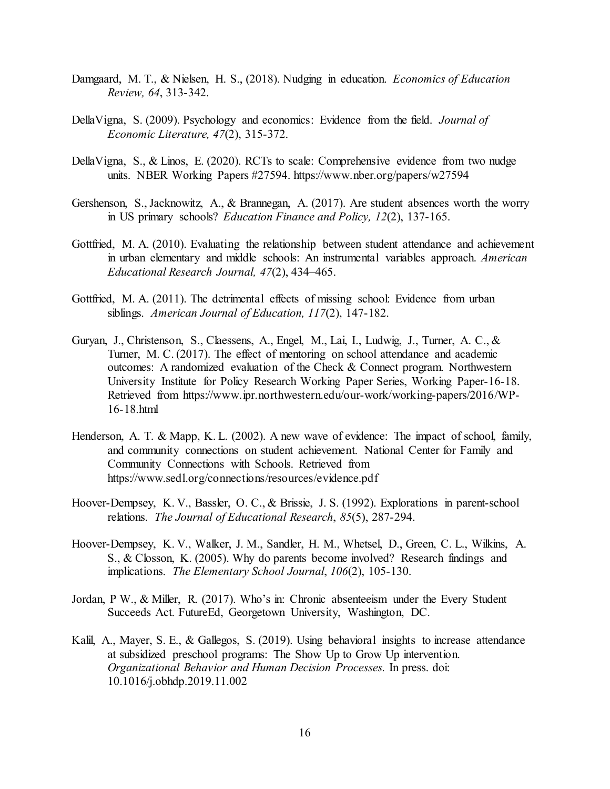- Damgaard, M. T., & Nielsen, H. S., (2018). Nudging in education. *Economics of Education Review, 64*, 313-342.
- DellaVigna, S. (2009). Psychology and economics: Evidence from the field. *Journal of Economic Literature, 47*(2), 315-372.
- DellaVigna, S., & Linos, E. (2020). RCTs to scale: Comprehensive evidence from two nudge units. NBER Working Papers #27594. https://www.nber.org/papers/w27594
- Gershenson, S., Jacknowitz, A., & Brannegan, A. (2017). Are student absences worth the worry in US primary schools? *Education Finance and Policy, 12*(2), 137-165.
- Gottfried, M. A. (2010). Evaluating the relationship between student attendance and achievement in urban elementary and middle schools: An instrumental variables approach. *American Educational Research Journal, 47*(2), 434–465.
- Gottfried, M. A. (2011). The detrimental effects of missing school: Evidence from urban siblings. *American Journal of Education, 117*(2), 147-182.
- Guryan, J., Christenson, S., Claessens, A., Engel, M., Lai, I., Ludwig, J., Turner, A. C., & Turner, M. C. (2017). The effect of mentoring on school attendance and academic outcomes: A randomized evaluation of the Check & Connect program. Northwestern University Institute for Policy Research Working Paper Series, Working Paper-16-18. Retrieved from https://www.ipr.northwestern.edu/our-work/working-papers/2016/WP-16-18.html
- Henderson, A. T. & Mapp, K. L. (2002). A new wave of evidence: The impact of school, family, and community connections on student achievement. National Center for Family and Community Connections with Schools. Retrieved from https://www.sedl.org/connections/resources/evidence.pdf
- Hoover-Dempsey, K. V., Bassler, O. C., & Brissie, J. S. (1992). Explorations in parent-school relations. *The Journal of Educational Research*, *85*(5), 287-294.
- Hoover-Dempsey, K. V., Walker, J. M., Sandler, H. M., Whetsel, D., Green, C. L., Wilkins, A. S., & Closson, K. (2005). Why do parents become involved? Research findings and implications. *The Elementary School Journal*, *106*(2), 105-130.
- Jordan, P W., & Miller, R. (2017). Who's in: Chronic absenteeism under the Every Student Succeeds Act. FutureEd, Georgetown University, Washington, DC.
- Kalil, A., Mayer, S. E., & Gallegos, S. (2019). Using behavioral insights to increase attendance at subsidized preschool programs: The Show Up to Grow Up intervention. *Organizational Behavior and Human Decision Processes.* In press. doi: 10.1016/j.obhdp.2019.11.002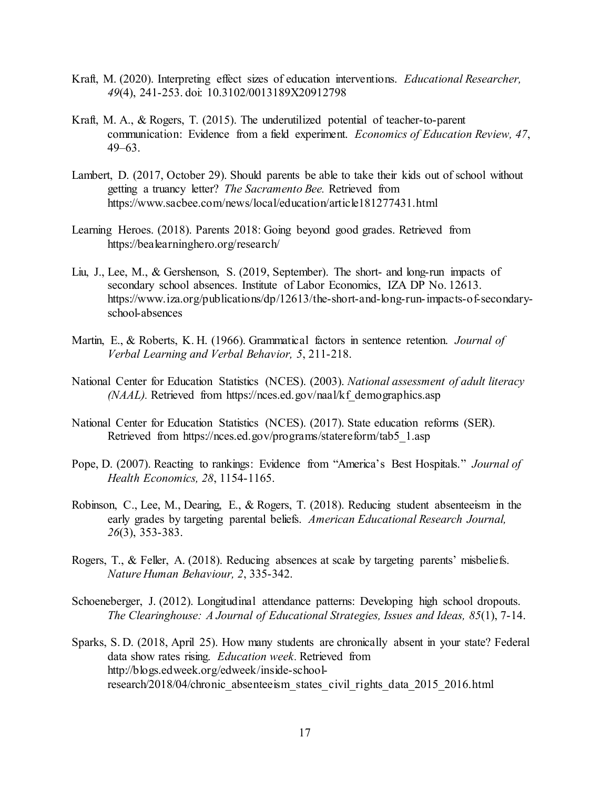- Kraft, M. (2020). Interpreting effect sizes of education interventions. *Educational Researcher, 49*(4), 241-253. doi: 10.3102/0013189X20912798
- Kraft, M. A., & Rogers, T. (2015). The underutilized potential of teacher-to-parent communication: Evidence from a field experiment. *Economics of Education Review, 47*, 49–63.
- Lambert, D. (2017, October 29). Should parents be able to take their kids out of school without getting a truancy letter? *The Sacramento Bee.* Retrieved from https://www.sacbee.com/news/local/education/article181277431.html
- Learning Heroes. (2018). Parents 2018: Going beyond good grades. Retrieved from https://bealearninghero.org/research/
- Liu, J., Lee, M., & Gershenson, S. (2019, September). The short- and long-run impacts of secondary school absences. Institute of Labor Economics, IZA DP No. 12613. https://www.iza.org/publications/dp/12613/the-short-and-long-run-impacts-of-secondaryschool-absences
- Martin, E., & Roberts, K. H. (1966). Grammatical factors in sentence retention. *Journal of Verbal Learning and Verbal Behavior, 5*, 211-218.
- National Center for Education Statistics (NCES). (2003). *National assessment of adult literacy (NAAL).* Retrieved from https://nces.ed.gov/naal/kf demographics.asp
- National Center for Education Statistics (NCES). (2017). State education reforms (SER). Retrieved from https://nces.ed.gov/programs/statereform/tab5\_1.asp
- Pope, D. (2007). Reacting to rankings: Evidence from "America's Best Hospitals." *Journal of Health Economics, 28*, 1154-1165.
- Robinson, C., Lee, M., Dearing, E., & Rogers, T. (2018). Reducing student absenteeism in the early grades by targeting parental beliefs. *American Educational Research Journal, 26*(3), 353-383.
- Rogers, T., & Feller, A. (2018). Reducing absences at scale by targeting parents' misbeliefs. *Nature Human Behaviour, 2*, 335-342.
- Schoeneberger, J. (2012). Longitudinal attendance patterns: Developing high school dropouts. *The Clearinghouse: A Journal of Educational Strategies, Issues and Ideas, 85*(1), 7-14.
- Sparks, S. D. (2018, April 25). How many students are chronically absent in your state? Federal data show rates rising. *Education week.* Retrieved from http://blogs.edweek.org/edweek/inside-schoolresearch/2018/04/chronic absenteeism states civil rights data 2015 2016.html